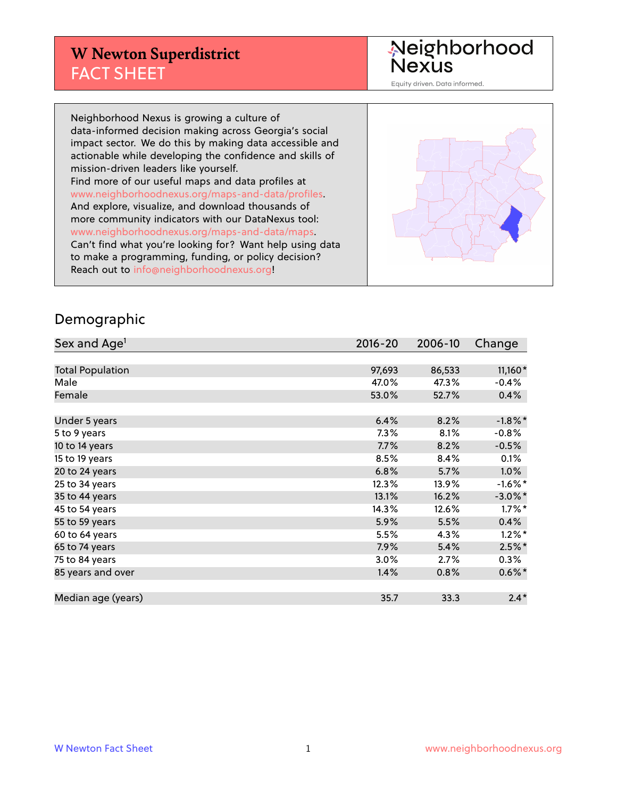## **W Newton Superdistrict** FACT SHEET

Neighborhood<br>Nexus

Equity driven. Data informed.

Neighborhood Nexus is growing a culture of data-informed decision making across Georgia's social impact sector. We do this by making data accessible and actionable while developing the confidence and skills of mission-driven leaders like yourself. Find more of our useful maps and data profiles at www.neighborhoodnexus.org/maps-and-data/profiles. And explore, visualize, and download thousands of more community indicators with our DataNexus tool: www.neighborhoodnexus.org/maps-and-data/maps. Can't find what you're looking for? Want help using data to make a programming, funding, or policy decision? Reach out to [info@neighborhoodnexus.org!](mailto:info@neighborhoodnexus.org)



#### Demographic

| Sex and Age <sup>1</sup> | $2016 - 20$ | 2006-10 | Change     |
|--------------------------|-------------|---------|------------|
|                          |             |         |            |
| <b>Total Population</b>  | 97,693      | 86,533  | $11,160*$  |
| Male                     | 47.0%       | 47.3%   | $-0.4%$    |
| Female                   | 53.0%       | 52.7%   | 0.4%       |
|                          |             |         |            |
| Under 5 years            | 6.4%        | 8.2%    | $-1.8\%$ * |
| 5 to 9 years             | 7.3%        | 8.1%    | $-0.8%$    |
| 10 to 14 years           | 7.7%        | 8.2%    | $-0.5%$    |
| 15 to 19 years           | 8.5%        | 8.4%    | 0.1%       |
| 20 to 24 years           | 6.8%        | 5.7%    | 1.0%       |
| 25 to 34 years           | 12.3%       | 13.9%   | $-1.6\%$ * |
| 35 to 44 years           | 13.1%       | 16.2%   | $-3.0\%$ * |
| 45 to 54 years           | 14.3%       | 12.6%   | $1.7\%$ *  |
| 55 to 59 years           | 5.9%        | 5.5%    | 0.4%       |
| 60 to 64 years           | 5.5%        | 4.3%    | $1.2\%$ *  |
| 65 to 74 years           | 7.9%        | 5.4%    | $2.5%$ *   |
| 75 to 84 years           | $3.0\%$     | 2.7%    | $0.3\%$    |
| 85 years and over        | 1.4%        | 0.8%    | $0.6\%$ *  |
|                          |             |         |            |
| Median age (years)       | 35.7        | 33.3    | $2.4*$     |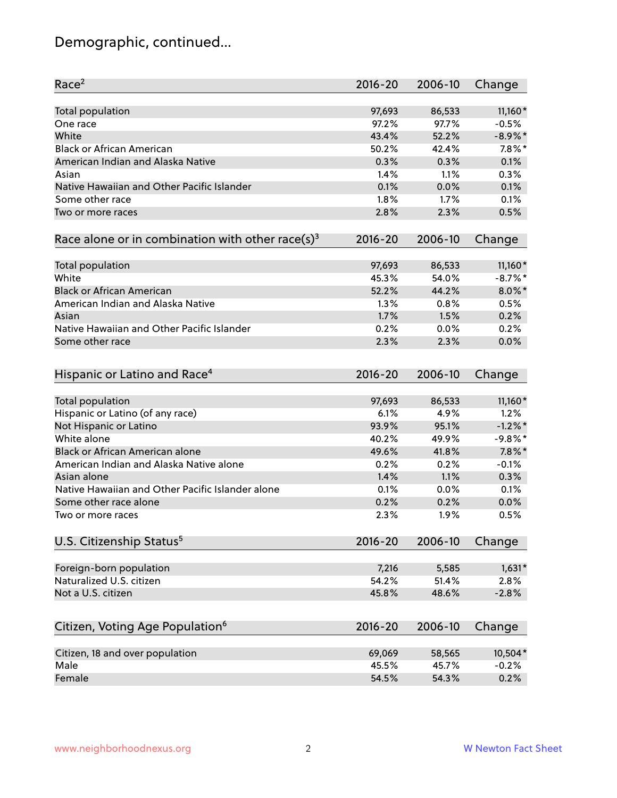# Demographic, continued...

| Race <sup>2</sup>                                            | $2016 - 20$    | 2006-10        | Change            |
|--------------------------------------------------------------|----------------|----------------|-------------------|
| Total population                                             | 97,693         | 86,533         | $11,160*$         |
| One race                                                     | 97.2%          | 97.7%          | $-0.5%$           |
| White                                                        | 43.4%          | 52.2%          | $-8.9\%$ *        |
| <b>Black or African American</b>                             | 50.2%          | 42.4%          | $7.8\%$ *         |
| American Indian and Alaska Native                            | 0.3%           | 0.3%           | 0.1%              |
| Asian                                                        | 1.4%           | 1.1%           | 0.3%              |
| Native Hawaiian and Other Pacific Islander                   | 0.1%           | 0.0%           | 0.1%              |
| Some other race                                              | 1.8%           | 1.7%           | 0.1%              |
| Two or more races                                            | 2.8%           | 2.3%           | 0.5%              |
| Race alone or in combination with other race(s) <sup>3</sup> | $2016 - 20$    | 2006-10        | Change            |
|                                                              |                |                |                   |
| <b>Total population</b>                                      | 97,693         | 86,533         | $11,160*$         |
| White                                                        | 45.3%          | 54.0%          | $-8.7\%$ *        |
| <b>Black or African American</b>                             | 52.2%          | 44.2%          | $8.0\%$ *         |
| American Indian and Alaska Native                            | 1.3%           | 0.8%           | 0.5%              |
| Asian                                                        | 1.7%           | 1.5%           | 0.2%              |
| Native Hawaiian and Other Pacific Islander                   | 0.2%           | 0.0%           | 0.2%              |
| Some other race                                              | 2.3%           | 2.3%           | 0.0%              |
|                                                              |                |                |                   |
| Hispanic or Latino and Race <sup>4</sup>                     | $2016 - 20$    | 2006-10        | Change            |
|                                                              |                |                |                   |
| Total population                                             | 97,693<br>6.1% | 86,533<br>4.9% | $11,160*$<br>1.2% |
| Hispanic or Latino (of any race)                             | 93.9%          |                | $-1.2\%$ *        |
| Not Hispanic or Latino                                       |                | 95.1%          |                   |
| White alone                                                  | 40.2%          | 49.9%          | $-9.8%$ *         |
| Black or African American alone                              | 49.6%          | 41.8%          | $7.8\%$ *         |
| American Indian and Alaska Native alone                      | 0.2%           | 0.2%           | $-0.1%$           |
| Asian alone                                                  | 1.4%           | 1.1%           | 0.3%              |
| Native Hawaiian and Other Pacific Islander alone             | 0.1%           | 0.0%           | 0.1%              |
| Some other race alone                                        | 0.2%           | 0.2%           | 0.0%              |
| Two or more races                                            | 2.3%           | 1.9%           | 0.5%              |
| U.S. Citizenship Status <sup>5</sup>                         | $2016 - 20$    | 2006-10        | Change            |
|                                                              |                |                |                   |
| Foreign-born population                                      | 7,216          | 5,585          | $1,631*$          |
| Naturalized U.S. citizen                                     | 54.2%          | 51.4%          | 2.8%              |
| Not a U.S. citizen                                           | 45.8%          | 48.6%          | $-2.8%$           |
| Citizen, Voting Age Population <sup>6</sup>                  | $2016 - 20$    | 2006-10        | Change            |
| Citizen, 18 and over population                              | 69,069         | 58,565         | 10,504*           |
| Male                                                         | 45.5%          | 45.7%          | $-0.2%$           |
| Female                                                       | 54.5%          | 54.3%          | 0.2%              |
|                                                              |                |                |                   |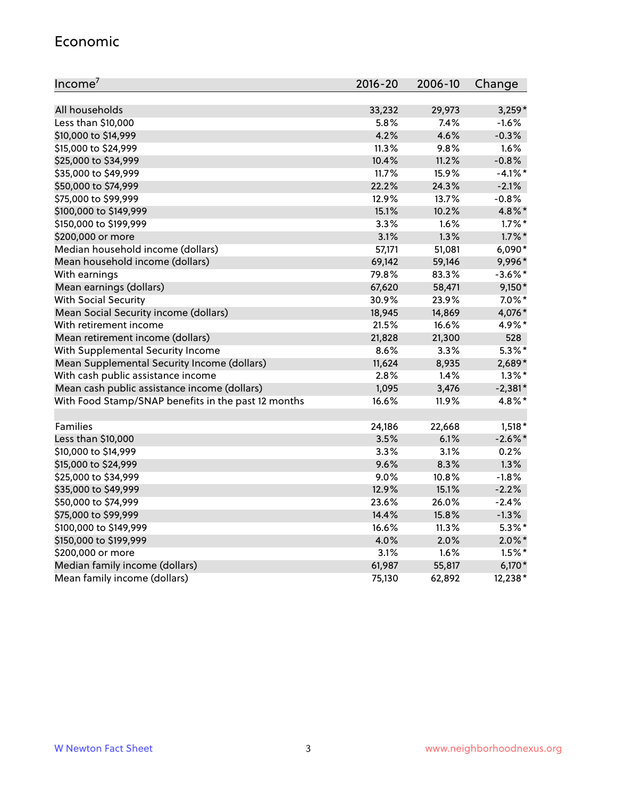#### Economic

| Income <sup>7</sup>                                 | 2016-20 | 2006-10 | Change     |
|-----------------------------------------------------|---------|---------|------------|
|                                                     |         |         |            |
| All households                                      | 33,232  | 29,973  | $3,259*$   |
| Less than \$10,000                                  | 5.8%    | 7.4%    | $-1.6%$    |
| \$10,000 to \$14,999                                | 4.2%    | 4.6%    | $-0.3%$    |
| \$15,000 to \$24,999                                | 11.3%   | 9.8%    | 1.6%       |
| \$25,000 to \$34,999                                | 10.4%   | 11.2%   | $-0.8%$    |
| \$35,000 to \$49,999                                | 11.7%   | 15.9%   | $-4.1\%$ * |
| \$50,000 to \$74,999                                | 22.2%   | 24.3%   | $-2.1%$    |
| \$75,000 to \$99,999                                | 12.9%   | 13.7%   | $-0.8%$    |
| \$100,000 to \$149,999                              | 15.1%   | 10.2%   | 4.8%*      |
| \$150,000 to \$199,999                              | 3.3%    | 1.6%    | $1.7\%$ *  |
| \$200,000 or more                                   | 3.1%    | 1.3%    | $1.7\%$ *  |
| Median household income (dollars)                   | 57,171  | 51,081  | 6,090*     |
| Mean household income (dollars)                     | 69,142  | 59,146  | 9,996*     |
| With earnings                                       | 79.8%   | 83.3%   | $-3.6\%$ * |
| Mean earnings (dollars)                             | 67,620  | 58,471  | $9,150*$   |
| <b>With Social Security</b>                         | 30.9%   | 23.9%   | $7.0\%$ *  |
| Mean Social Security income (dollars)               | 18,945  | 14,869  | 4,076*     |
| With retirement income                              | 21.5%   | 16.6%   | 4.9%*      |
| Mean retirement income (dollars)                    | 21,828  | 21,300  | 528        |
| With Supplemental Security Income                   | 8.6%    | $3.3\%$ | $5.3\%$ *  |
| Mean Supplemental Security Income (dollars)         | 11,624  | 8,935   | 2,689*     |
| With cash public assistance income                  | 2.8%    | 1.4%    | $1.3\%$ *  |
| Mean cash public assistance income (dollars)        | 1,095   | 3,476   | $-2,381*$  |
| With Food Stamp/SNAP benefits in the past 12 months | 16.6%   | 11.9%   | 4.8%*      |
|                                                     |         |         |            |
| Families                                            | 24,186  | 22,668  | $1,518*$   |
| Less than \$10,000                                  | 3.5%    | 6.1%    | $-2.6\%$ * |
| \$10,000 to \$14,999                                | 3.3%    | 3.1%    | 0.2%       |
| \$15,000 to \$24,999                                | 9.6%    | 8.3%    | 1.3%       |
| \$25,000 to \$34,999                                | 9.0%    | 10.8%   | $-1.8%$    |
| \$35,000 to \$49,999                                | 12.9%   | 15.1%   | $-2.2%$    |
| \$50,000 to \$74,999                                | 23.6%   | 26.0%   | $-2.4%$    |
| \$75,000 to \$99,999                                | 14.4%   | 15.8%   | $-1.3%$    |
| \$100,000 to \$149,999                              | 16.6%   | 11.3%   | $5.3\%$ *  |
| \$150,000 to \$199,999                              | 4.0%    | 2.0%    | $2.0\%$ *  |
| \$200,000 or more                                   | 3.1%    | 1.6%    | $1.5\%$ *  |
| Median family income (dollars)                      | 61,987  | 55,817  | $6,170*$   |
| Mean family income (dollars)                        | 75,130  | 62,892  | 12,238*    |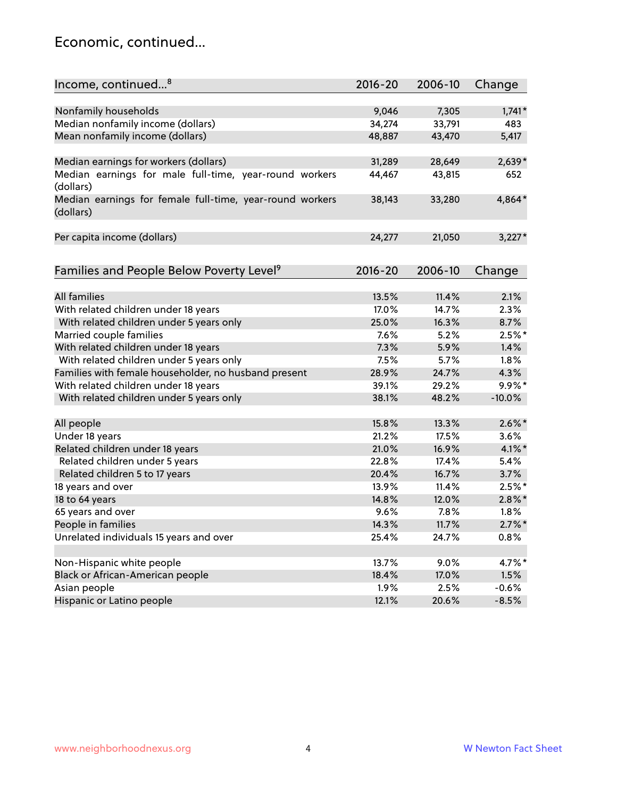### Economic, continued...

| Income, continued <sup>8</sup>                                        | $2016 - 20$ | 2006-10 | Change    |
|-----------------------------------------------------------------------|-------------|---------|-----------|
|                                                                       |             |         |           |
| Nonfamily households                                                  | 9,046       | 7,305   | $1,741*$  |
| Median nonfamily income (dollars)                                     | 34,274      | 33,791  | 483       |
| Mean nonfamily income (dollars)                                       | 48,887      | 43,470  | 5,417     |
| Median earnings for workers (dollars)                                 | 31,289      | 28,649  | 2,639*    |
| Median earnings for male full-time, year-round workers                | 44,467      | 43,815  | 652       |
| (dollars)                                                             |             |         |           |
| Median earnings for female full-time, year-round workers<br>(dollars) | 38,143      | 33,280  | 4,864*    |
| Per capita income (dollars)                                           | 24,277      | 21,050  | $3,227*$  |
|                                                                       |             |         |           |
| Families and People Below Poverty Level <sup>9</sup>                  | 2016-20     | 2006-10 | Change    |
|                                                                       |             |         |           |
| <b>All families</b>                                                   | 13.5%       | 11.4%   | 2.1%      |
| With related children under 18 years                                  | 17.0%       | 14.7%   | 2.3%      |
| With related children under 5 years only                              | 25.0%       | 16.3%   | 8.7%      |
| Married couple families                                               | 7.6%        | 5.2%    | $2.5%$ *  |
| With related children under 18 years                                  | 7.3%        | 5.9%    | 1.4%      |
| With related children under 5 years only                              | 7.5%        | 5.7%    | 1.8%      |
| Families with female householder, no husband present                  | 28.9%       | 24.7%   | 4.3%      |
| With related children under 18 years                                  | 39.1%       | 29.2%   | $9.9\%$ * |
| With related children under 5 years only                              | 38.1%       | 48.2%   | $-10.0%$  |
| All people                                                            | 15.8%       | 13.3%   | $2.6\%$ * |
| Under 18 years                                                        | 21.2%       | 17.5%   | 3.6%      |
| Related children under 18 years                                       | 21.0%       | 16.9%   | $4.1\%$ * |
| Related children under 5 years                                        | 22.8%       | 17.4%   | 5.4%      |
| Related children 5 to 17 years                                        | 20.4%       | 16.7%   | 3.7%      |
| 18 years and over                                                     | 13.9%       | 11.4%   | $2.5%$ *  |
| 18 to 64 years                                                        | 14.8%       | 12.0%   | $2.8\%$ * |
| 65 years and over                                                     | 9.6%        | 7.8%    | 1.8%      |
| People in families                                                    | 14.3%       | 11.7%   | $2.7\%$ * |
| Unrelated individuals 15 years and over                               | 25.4%       | 24.7%   | 0.8%      |
|                                                                       |             |         |           |
| Non-Hispanic white people                                             | 13.7%       | 9.0%    | 4.7%*     |
| Black or African-American people                                      | 18.4%       | 17.0%   | 1.5%      |
| Asian people                                                          | 1.9%        | 2.5%    | $-0.6%$   |
| Hispanic or Latino people                                             | 12.1%       | 20.6%   | $-8.5%$   |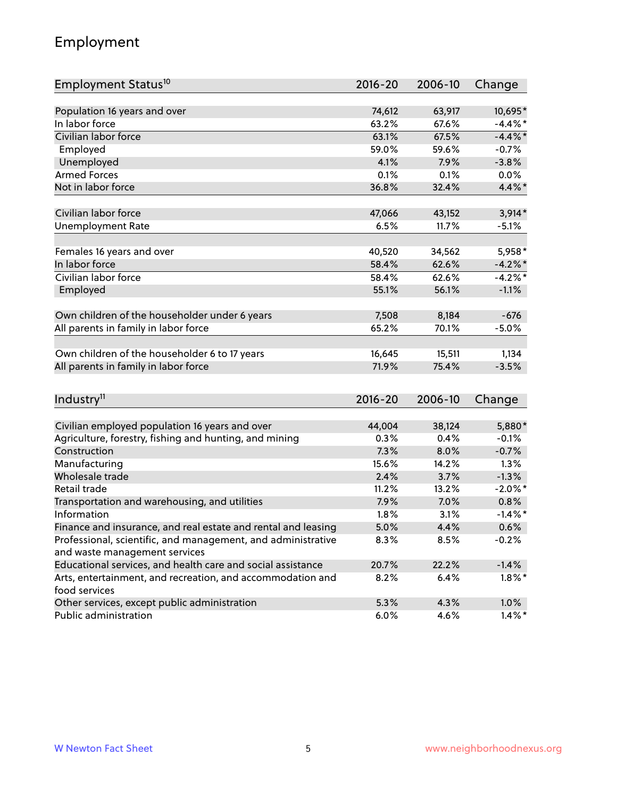# Employment

| Employment Status <sup>10</sup>                               | $2016 - 20$     | 2006-10 | Change     |
|---------------------------------------------------------------|-----------------|---------|------------|
|                                                               |                 |         |            |
| Population 16 years and over<br>In labor force                | 74,612<br>63.2% | 63,917  | 10,695*    |
| Civilian labor force                                          |                 | 67.6%   | $-4.4%$    |
|                                                               | 63.1%           | 67.5%   | $-4.4\%$ * |
| Employed                                                      | 59.0%           | 59.6%   | $-0.7%$    |
| Unemployed                                                    | 4.1%            | 7.9%    | $-3.8%$    |
| <b>Armed Forces</b>                                           | 0.1%            | 0.1%    | $0.0\%$    |
| Not in labor force                                            | 36.8%           | 32.4%   | 4.4%*      |
| Civilian labor force                                          | 47,066          | 43,152  | $3,914*$   |
| <b>Unemployment Rate</b>                                      | 6.5%            | 11.7%   | $-5.1%$    |
|                                                               |                 |         |            |
| Females 16 years and over                                     | 40,520          | 34,562  | 5,958*     |
| In labor force                                                | 58.4%           | 62.6%   | $-4.2%$    |
| Civilian labor force                                          | 58.4%           | 62.6%   | $-4.2%$ *  |
| Employed                                                      | 55.1%           | 56.1%   | $-1.1%$    |
|                                                               |                 |         |            |
| Own children of the householder under 6 years                 | 7,508           | 8,184   | $-676$     |
| All parents in family in labor force                          | 65.2%           | 70.1%   | $-5.0%$    |
|                                                               |                 |         |            |
| Own children of the householder 6 to 17 years                 | 16,645          | 15,511  | 1,134      |
| All parents in family in labor force                          | 71.9%           | 75.4%   | $-3.5%$    |
|                                                               |                 |         |            |
| Industry <sup>11</sup>                                        | $2016 - 20$     | 2006-10 | Change     |
|                                                               |                 |         |            |
| Civilian employed population 16 years and over                | 44,004          | 38,124  | 5,880*     |
| Agriculture, forestry, fishing and hunting, and mining        | $0.3\%$         | 0.4%    | $-0.1%$    |
| Construction                                                  | 7.3%            | 8.0%    | $-0.7%$    |
| Manufacturing                                                 | 15.6%           | 14.2%   | 1.3%       |
| Wholesale trade                                               | 2.4%            | 3.7%    | $-1.3%$    |
| Retail trade                                                  | 11.2%           | 13.2%   | $-2.0\%$ * |
| Transportation and warehousing, and utilities                 | 7.9%            | 7.0%    | 0.8%       |
| Information                                                   | 1.8%            | 3.1%    | $-1.4\%$ * |
| Finance and insurance, and real estate and rental and leasing | 5.0%            | 4.4%    | 0.6%       |
| Professional, scientific, and management, and administrative  | $8.3\%$         | 8.5%    | $-0.2%$    |
| and waste management services                                 |                 |         |            |
| Educational services, and health care and social assistance   | 20.7%           | 22.2%   | $-1.4%$    |
| Arts, entertainment, and recreation, and accommodation and    | 8.2%            | 6.4%    | $1.8\%$ *  |
| food services                                                 |                 |         |            |
| Other services, except public administration                  | 5.3%            | 4.3%    | 1.0%       |
| Public administration                                         | 6.0%            | 4.6%    | $1.4\%$ *  |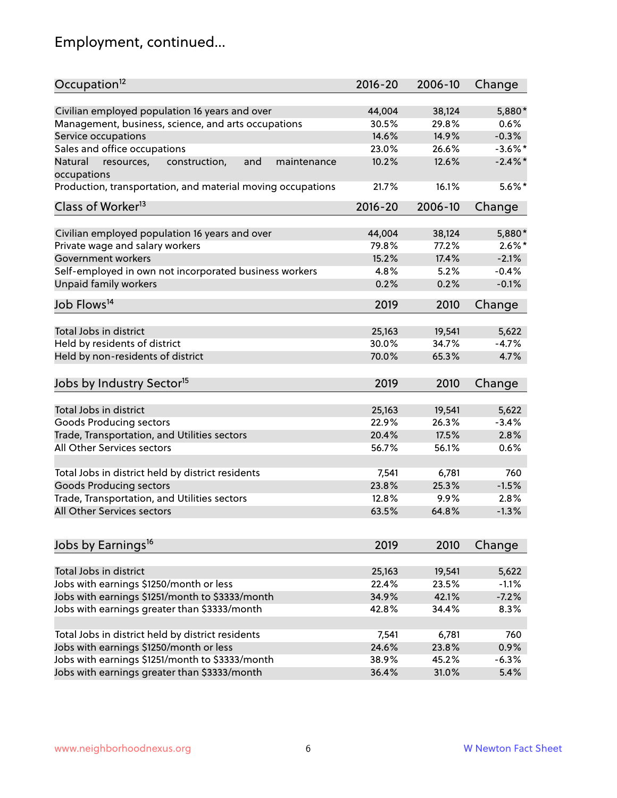# Employment, continued...

| Occupation <sup>12</sup>                                     | $2016 - 20$ | 2006-10 | Change     |
|--------------------------------------------------------------|-------------|---------|------------|
| Civilian employed population 16 years and over               | 44,004      | 38,124  | 5,880*     |
| Management, business, science, and arts occupations          | 30.5%       | 29.8%   | 0.6%       |
| Service occupations                                          | 14.6%       | 14.9%   | $-0.3%$    |
| Sales and office occupations                                 | 23.0%       | 26.6%   | $-3.6\%$ * |
| Natural<br>and<br>resources,<br>construction,<br>maintenance | 10.2%       | 12.6%   | $-2.4\%$   |
| occupations                                                  |             |         |            |
| Production, transportation, and material moving occupations  | 21.7%       | 16.1%   | $5.6\%$ *  |
| Class of Worker <sup>13</sup>                                | $2016 - 20$ | 2006-10 | Change     |
|                                                              |             |         |            |
| Civilian employed population 16 years and over               | 44,004      | 38,124  | 5,880*     |
| Private wage and salary workers                              | 79.8%       | 77.2%   | $2.6\%$ *  |
| Government workers                                           | 15.2%       | 17.4%   | $-2.1%$    |
| Self-employed in own not incorporated business workers       | 4.8%        | 5.2%    | $-0.4%$    |
| Unpaid family workers                                        | 0.2%        | 0.2%    | $-0.1%$    |
| Job Flows <sup>14</sup>                                      | 2019        | 2010    | Change     |
|                                                              |             |         |            |
| Total Jobs in district                                       | 25,163      | 19,541  | 5,622      |
| Held by residents of district                                | 30.0%       | 34.7%   | $-4.7%$    |
| Held by non-residents of district                            | 70.0%       | 65.3%   | 4.7%       |
| Jobs by Industry Sector <sup>15</sup>                        | 2019        | 2010    | Change     |
|                                                              |             |         |            |
| Total Jobs in district                                       | 25,163      | 19,541  | 5,622      |
| Goods Producing sectors                                      | 22.9%       | 26.3%   | $-3.4%$    |
| Trade, Transportation, and Utilities sectors                 | 20.4%       | 17.5%   | 2.8%       |
| <b>All Other Services sectors</b>                            | 56.7%       | 56.1%   | 0.6%       |
| Total Jobs in district held by district residents            | 7,541       | 6,781   | 760        |
| <b>Goods Producing sectors</b>                               | 23.8%       | 25.3%   | $-1.5%$    |
| Trade, Transportation, and Utilities sectors                 | 12.8%       | 9.9%    | 2.8%       |
| All Other Services sectors                                   | 63.5%       | 64.8%   | $-1.3%$    |
|                                                              |             |         |            |
| Jobs by Earnings <sup>16</sup>                               | 2019        | 2010    | Change     |
|                                                              |             |         |            |
| Total Jobs in district                                       | 25,163      | 19,541  | 5,622      |
| Jobs with earnings \$1250/month or less                      | 22.4%       | 23.5%   | $-1.1%$    |
| Jobs with earnings \$1251/month to \$3333/month              | 34.9%       | 42.1%   | $-7.2%$    |
| Jobs with earnings greater than \$3333/month                 | 42.8%       | 34.4%   | 8.3%       |
| Total Jobs in district held by district residents            | 7,541       | 6,781   | 760        |
| Jobs with earnings \$1250/month or less                      | 24.6%       | 23.8%   | 0.9%       |
| Jobs with earnings \$1251/month to \$3333/month              | 38.9%       | 45.2%   | $-6.3%$    |
| Jobs with earnings greater than \$3333/month                 | 36.4%       | 31.0%   | 5.4%       |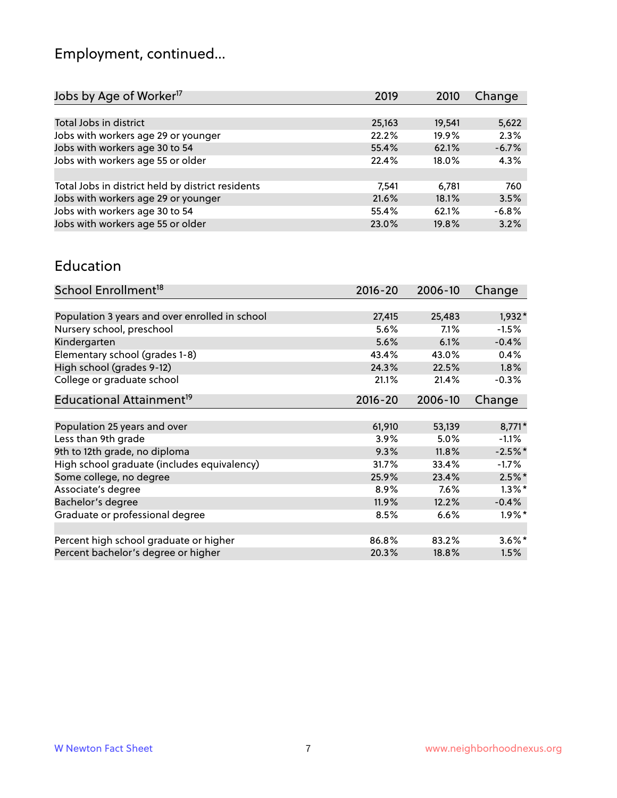# Employment, continued...

| Jobs by Age of Worker <sup>17</sup>               | 2019   | 2010   | Change  |
|---------------------------------------------------|--------|--------|---------|
|                                                   |        |        |         |
| Total Jobs in district                            | 25,163 | 19,541 | 5,622   |
| Jobs with workers age 29 or younger               | 22.2%  | 19.9%  | 2.3%    |
| Jobs with workers age 30 to 54                    | 55.4%  | 62.1%  | $-6.7%$ |
| Jobs with workers age 55 or older                 | 22.4%  | 18.0%  | 4.3%    |
|                                                   |        |        |         |
| Total Jobs in district held by district residents | 7,541  | 6,781  | 760     |
| Jobs with workers age 29 or younger               | 21.6%  | 18.1%  | 3.5%    |
| Jobs with workers age 30 to 54                    | 55.4%  | 62.1%  | $-6.8%$ |
| Jobs with workers age 55 or older                 | 23.0%  | 19.8%  | 3.2%    |
|                                                   |        |        |         |

#### Education

| School Enrollment <sup>18</sup>                | $2016 - 20$ | 2006-10 | Change    |
|------------------------------------------------|-------------|---------|-----------|
|                                                |             |         |           |
| Population 3 years and over enrolled in school | 27,415      | 25,483  | $1,932*$  |
| Nursery school, preschool                      | 5.6%        | 7.1%    | $-1.5%$   |
| Kindergarten                                   | 5.6%        | 6.1%    | $-0.4%$   |
| Elementary school (grades 1-8)                 | 43.4%       | 43.0%   | 0.4%      |
| High school (grades 9-12)                      | 24.3%       | 22.5%   | 1.8%      |
| College or graduate school                     | 21.1%       | 21.4%   | $-0.3%$   |
| Educational Attainment <sup>19</sup>           | $2016 - 20$ | 2006-10 | Change    |
|                                                |             |         |           |
| Population 25 years and over                   | 61,910      | 53,139  | 8,771*    |
| Less than 9th grade                            | 3.9%        | 5.0%    | $-1.1%$   |
| 9th to 12th grade, no diploma                  | 9.3%        | 11.8%   | $-2.5%$ * |
| High school graduate (includes equivalency)    | 31.7%       | 33.4%   | $-1.7\%$  |
| Some college, no degree                        | 25.9%       | 23.4%   | $2.5%$ *  |
| Associate's degree                             | 8.9%        | 7.6%    | $1.3\%$ * |
| Bachelor's degree                              | 11.9%       | 12.2%   | $-0.4%$   |
| Graduate or professional degree                | 8.5%        | 6.6%    | $1.9\%$ * |
|                                                |             |         |           |
| Percent high school graduate or higher         | 86.8%       | 83.2%   | $3.6\%$ * |
| Percent bachelor's degree or higher            | 20.3%       | 18.8%   | 1.5%      |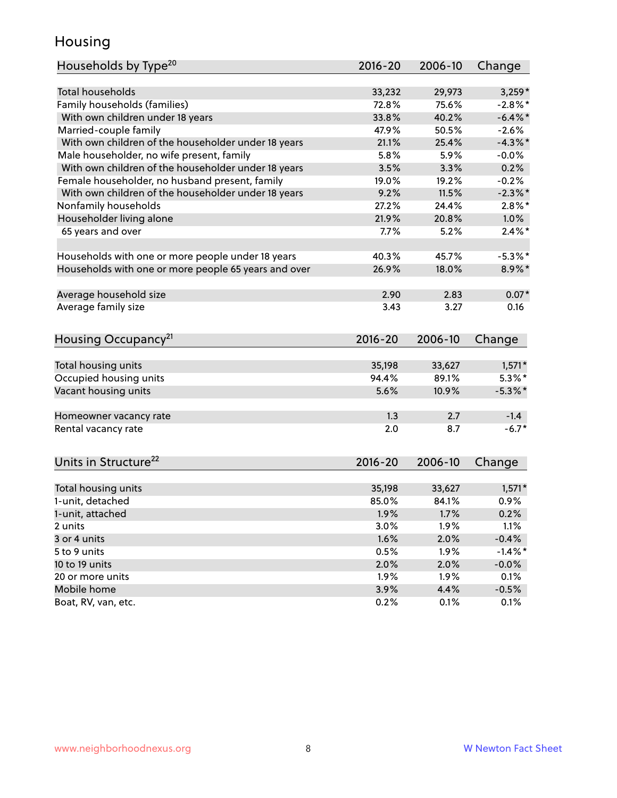### Housing

| Households by Type <sup>20</sup>                     | 2016-20     | 2006-10 | Change           |
|------------------------------------------------------|-------------|---------|------------------|
|                                                      |             |         |                  |
| <b>Total households</b>                              | 33,232      | 29,973  | $3,259*$         |
| Family households (families)                         | 72.8%       | 75.6%   | $-2.8\%$ *       |
| With own children under 18 years                     | 33.8%       | 40.2%   | $-6.4\%$ *       |
| Married-couple family                                | 47.9%       | 50.5%   | $-2.6%$          |
| With own children of the householder under 18 years  | 21.1%       | 25.4%   | $-4.3\%$ *       |
| Male householder, no wife present, family            | 5.8%        | 5.9%    | $-0.0%$          |
| With own children of the householder under 18 years  | 3.5%        | 3.3%    | 0.2%             |
| Female householder, no husband present, family       | 19.0%       | 19.2%   | $-0.2%$          |
| With own children of the householder under 18 years  | 9.2%        | 11.5%   | $-2.3\%$ *       |
| Nonfamily households                                 | 27.2%       | 24.4%   | $2.8\%$ *        |
| Householder living alone                             | 21.9%       | 20.8%   | 1.0%             |
| 65 years and over                                    | 7.7%        | 5.2%    | $2.4\%$ *        |
|                                                      |             |         |                  |
| Households with one or more people under 18 years    | 40.3%       | 45.7%   | $-5.3\%$ *       |
| Households with one or more people 65 years and over | 26.9%       | 18.0%   | 8.9%*            |
|                                                      |             |         |                  |
| Average household size                               | 2.90        | 2.83    | $0.07*$          |
| Average family size                                  | 3.43        | 3.27    | 0.16             |
|                                                      |             |         |                  |
| Housing Occupancy <sup>21</sup>                      | 2016-20     | 2006-10 | Change           |
|                                                      |             |         |                  |
| Total housing units                                  | 35,198      | 33,627  | $1,571*$         |
| Occupied housing units                               | 94.4%       | 89.1%   | $5.3\%$ *        |
| Vacant housing units                                 | 5.6%        | 10.9%   | $-5.3\%$ *       |
|                                                      |             |         |                  |
| Homeowner vacancy rate                               | 1.3         | 2.7     | $-1.4$           |
| Rental vacancy rate                                  | 2.0         | 8.7     | $-6.7*$          |
|                                                      |             |         |                  |
| Units in Structure <sup>22</sup>                     | $2016 - 20$ | 2006-10 | Change           |
|                                                      |             |         |                  |
| Total housing units<br>1-unit, detached              | 35,198      | 33,627  | $1,571*$<br>0.9% |
|                                                      | 85.0%       | 84.1%   |                  |
| 1-unit, attached                                     | 1.9%        | 1.7%    | 0.2%             |
| 2 units                                              | 3.0%        | 1.9%    | 1.1%             |
| 3 or 4 units                                         | 1.6%        | 2.0%    | $-0.4%$          |
| 5 to 9 units                                         | 0.5%        | 1.9%    | $-1.4\%$ *       |
| 10 to 19 units                                       | 2.0%        | 2.0%    | $-0.0%$          |
| 20 or more units                                     | 1.9%        | 1.9%    | 0.1%             |
| Mobile home                                          | 3.9%        | 4.4%    | $-0.5%$          |
| Boat, RV, van, etc.                                  | 0.2%        | 0.1%    | 0.1%             |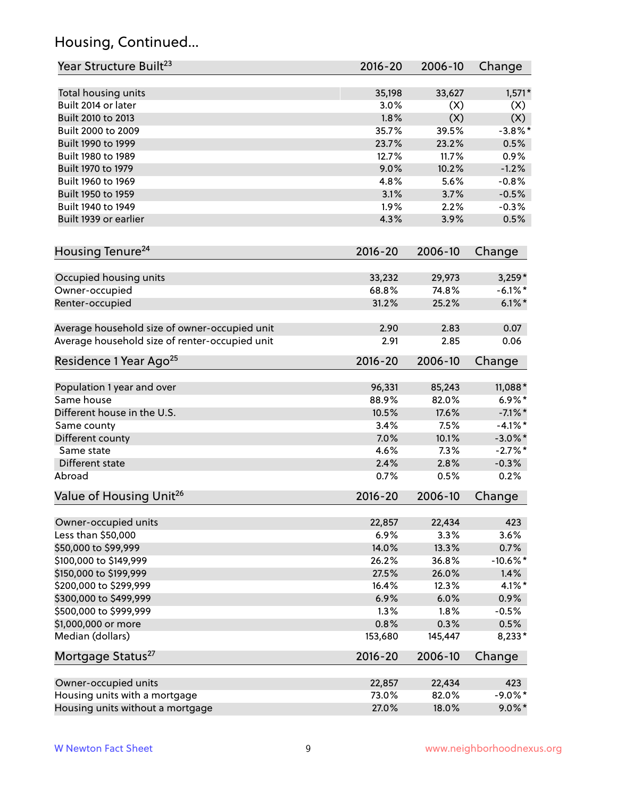# Housing, Continued...

| Year Structure Built <sup>23</sup>             | 2016-20     | 2006-10 | Change     |
|------------------------------------------------|-------------|---------|------------|
| Total housing units                            | 35,198      | 33,627  | $1,571*$   |
| Built 2014 or later                            | 3.0%        | (X)     | (X)        |
| Built 2010 to 2013                             | 1.8%        | (X)     | (X)        |
| Built 2000 to 2009                             | 35.7%       | 39.5%   | $-3.8\%$ * |
| Built 1990 to 1999                             | 23.7%       | 23.2%   | 0.5%       |
| Built 1980 to 1989                             | 12.7%       | 11.7%   | 0.9%       |
| Built 1970 to 1979                             | 9.0%        | 10.2%   | $-1.2%$    |
| Built 1960 to 1969                             | 4.8%        | 5.6%    | $-0.8%$    |
| Built 1950 to 1959                             | 3.1%        | 3.7%    | $-0.5%$    |
| Built 1940 to 1949                             | 1.9%        | 2.2%    | $-0.3%$    |
| Built 1939 or earlier                          | 4.3%        | 3.9%    | 0.5%       |
| Housing Tenure <sup>24</sup>                   | $2016 - 20$ | 2006-10 | Change     |
| Occupied housing units                         | 33,232      | 29,973  | $3,259*$   |
| Owner-occupied                                 | 68.8%       | 74.8%   | $-6.1\%$ * |
| Renter-occupied                                | 31.2%       | 25.2%   | $6.1\%$ *  |
|                                                |             |         |            |
| Average household size of owner-occupied unit  | 2.90        | 2.83    | 0.07       |
| Average household size of renter-occupied unit | 2.91        | 2.85    | 0.06       |
| Residence 1 Year Ago <sup>25</sup>             | $2016 - 20$ | 2006-10 | Change     |
|                                                |             |         |            |
| Population 1 year and over                     | 96,331      | 85,243  | 11,088*    |
| Same house                                     | 88.9%       | 82.0%   | $6.9\%*$   |
| Different house in the U.S.                    | 10.5%       | 17.6%   | $-7.1\%$ * |
| Same county                                    | 3.4%        | 7.5%    | $-4.1%$ *  |
| Different county                               | 7.0%        | 10.1%   | $-3.0\%$ * |
| Same state                                     | 4.6%        | 7.3%    | $-2.7%$ *  |
| Different state                                | 2.4%        | 2.8%    | $-0.3%$    |
| Abroad                                         | 0.7%        | 0.5%    | 0.2%       |
| Value of Housing Unit <sup>26</sup>            | $2016 - 20$ | 2006-10 | Change     |
|                                                |             |         |            |
| Owner-occupied units                           | 22,857      | 22,434  | 423        |
| Less than \$50,000                             | 6.9%        | 3.3%    | 3.6%       |
| \$50,000 to \$99,999                           | 14.0%       | 13.3%   | 0.7%       |
| \$100,000 to \$149,999                         | 26.2%       | 36.8%   | $-10.6%$ * |
| \$150,000 to \$199,999                         | 27.5%       | 26.0%   | 1.4%       |
| \$200,000 to \$299,999                         | 16.4%       | 12.3%   | $4.1\%$ *  |
| \$300,000 to \$499,999                         | 6.9%        | 6.0%    | 0.9%       |
| \$500,000 to \$999,999                         | 1.3%        | 1.8%    | $-0.5%$    |
| \$1,000,000 or more                            | 0.8%        | 0.3%    | 0.5%       |
| Median (dollars)                               | 153,680     | 145,447 | 8,233*     |
| Mortgage Status <sup>27</sup>                  | $2016 - 20$ | 2006-10 | Change     |
| Owner-occupied units                           | 22,857      | 22,434  | 423        |
| Housing units with a mortgage                  | 73.0%       | 82.0%   | $-9.0\%$ * |
| Housing units without a mortgage               | 27.0%       | 18.0%   | $9.0\%$ *  |
|                                                |             |         |            |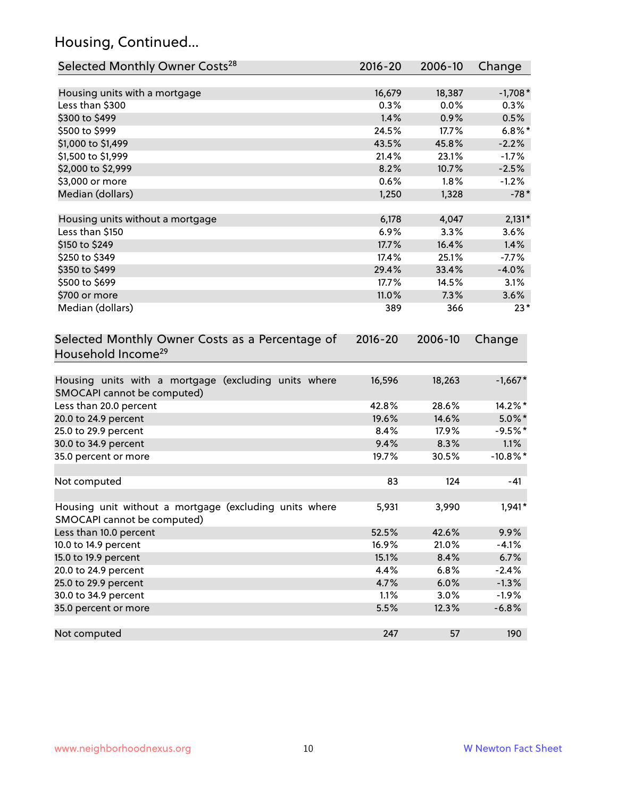# Housing, Continued...

| Selected Monthly Owner Costs <sup>28</sup>                                            | 2016-20     | 2006-10 | Change      |
|---------------------------------------------------------------------------------------|-------------|---------|-------------|
| Housing units with a mortgage                                                         | 16,679      | 18,387  | $-1,708*$   |
| Less than \$300                                                                       | 0.3%        | 0.0%    | 0.3%        |
| \$300 to \$499                                                                        | 1.4%        | 0.9%    | 0.5%        |
| \$500 to \$999                                                                        | 24.5%       | 17.7%   | $6.8\%$ *   |
| \$1,000 to \$1,499                                                                    | 43.5%       | 45.8%   | $-2.2%$     |
| \$1,500 to \$1,999                                                                    | 21.4%       | 23.1%   | $-1.7%$     |
| \$2,000 to \$2,999                                                                    | 8.2%        | 10.7%   | $-2.5%$     |
| \$3,000 or more                                                                       | 0.6%        | 1.8%    | $-1.2%$     |
| Median (dollars)                                                                      | 1,250       | 1,328   | $-78*$      |
| Housing units without a mortgage                                                      | 6,178       | 4,047   | $2,131*$    |
| Less than \$150                                                                       | 6.9%        | 3.3%    | 3.6%        |
| \$150 to \$249                                                                        | 17.7%       | 16.4%   | 1.4%        |
| \$250 to \$349                                                                        | 17.4%       | 25.1%   | $-7.7%$     |
| \$350 to \$499                                                                        | 29.4%       | 33.4%   | $-4.0%$     |
| \$500 to \$699                                                                        | 17.7%       | 14.5%   | 3.1%        |
| \$700 or more                                                                         | 11.0%       | 7.3%    | 3.6%        |
| Median (dollars)                                                                      | 389         | 366     | $23*$       |
| Selected Monthly Owner Costs as a Percentage of<br>Household Income <sup>29</sup>     | $2016 - 20$ | 2006-10 | Change      |
| Housing units with a mortgage (excluding units where<br>SMOCAPI cannot be computed)   | 16,596      | 18,263  | $-1,667*$   |
| Less than 20.0 percent                                                                | 42.8%       | 28.6%   | 14.2%*      |
| 20.0 to 24.9 percent                                                                  | 19.6%       | 14.6%   | $5.0\%$ *   |
| 25.0 to 29.9 percent                                                                  | 8.4%        | 17.9%   | $-9.5%$ *   |
| 30.0 to 34.9 percent                                                                  | 9.4%        | 8.3%    | 1.1%        |
| 35.0 percent or more                                                                  | 19.7%       | 30.5%   | $-10.8\%$ * |
| Not computed                                                                          | 83          | 124     | $-41$       |
| Housing unit without a mortgage (excluding units where<br>SMOCAPI cannot be computed) | 5,931       | 3,990   | $1,941*$    |
| Less than 10.0 percent                                                                | 52.5%       | 42.6%   | 9.9%        |
| 10.0 to 14.9 percent                                                                  | 16.9%       | 21.0%   | $-4.1%$     |
| 15.0 to 19.9 percent                                                                  | 15.1%       | 8.4%    | 6.7%        |
| 20.0 to 24.9 percent                                                                  | 4.4%        | 6.8%    | $-2.4%$     |
| 25.0 to 29.9 percent                                                                  | 4.7%        | 6.0%    | $-1.3%$     |
| 30.0 to 34.9 percent                                                                  | 1.1%        | 3.0%    | $-1.9%$     |
| 35.0 percent or more                                                                  | 5.5%        | 12.3%   | $-6.8%$     |
| Not computed                                                                          | 247         | 57      | 190         |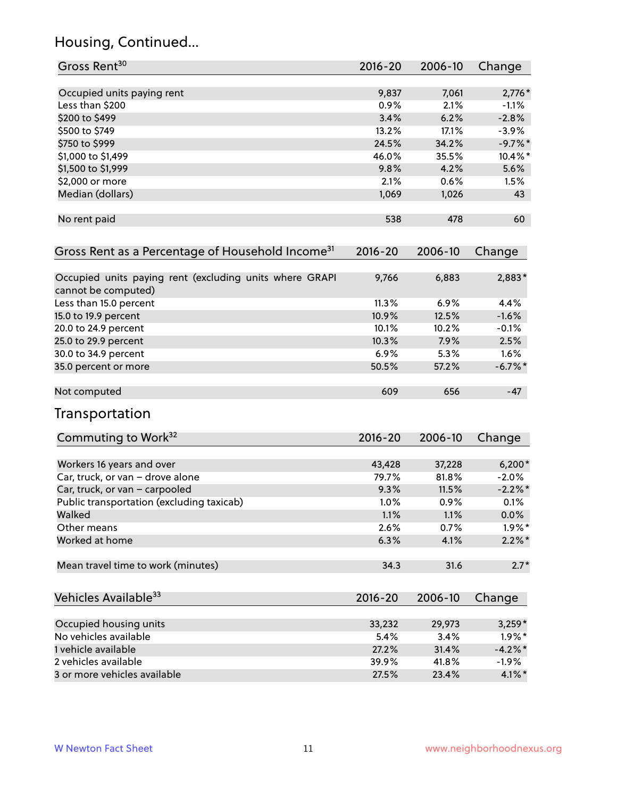# Housing, Continued...

| Gross Rent <sup>30</sup>                                                       | 2016-20     | 2006-10 | Change     |
|--------------------------------------------------------------------------------|-------------|---------|------------|
| Occupied units paying rent                                                     | 9,837       | 7,061   | $2,776*$   |
| Less than \$200                                                                | 0.9%        | 2.1%    | $-1.1\%$   |
| \$200 to \$499                                                                 | 3.4%        | 6.2%    | $-2.8%$    |
| \$500 to \$749                                                                 | 13.2%       | 17.1%   | $-3.9%$    |
| \$750 to \$999                                                                 | 24.5%       | 34.2%   | $-9.7%$ *  |
| \$1,000 to \$1,499                                                             | 46.0%       | 35.5%   | $10.4\%$ * |
| \$1,500 to \$1,999                                                             | 9.8%        | 4.2%    | 5.6%       |
| \$2,000 or more                                                                | 2.1%        | 0.6%    | 1.5%       |
| Median (dollars)                                                               | 1,069       | 1,026   | 43         |
| No rent paid                                                                   | 538         | 478     | 60         |
| Gross Rent as a Percentage of Household Income <sup>31</sup>                   | $2016 - 20$ | 2006-10 | Change     |
| Occupied units paying rent (excluding units where GRAPI<br>cannot be computed) | 9,766       | 6,883   | 2,883*     |
| Less than 15.0 percent                                                         | 11.3%       | 6.9%    | 4.4%       |
| 15.0 to 19.9 percent                                                           | 10.9%       | 12.5%   | $-1.6%$    |
| 20.0 to 24.9 percent                                                           | 10.1%       | 10.2%   | $-0.1%$    |
| 25.0 to 29.9 percent                                                           | 10.3%       | 7.9%    | 2.5%       |
| 30.0 to 34.9 percent                                                           | 6.9%        | 5.3%    | 1.6%       |
| 35.0 percent or more                                                           | 50.5%       | 57.2%   | $-6.7\%$ * |
| Not computed                                                                   | 609         | 656     | $-47$      |
| Transportation                                                                 |             |         |            |
| Commuting to Work <sup>32</sup>                                                | 2016-20     | 2006-10 | Change     |
| Workers 16 years and over                                                      | 43,428      | 37,228  | $6,200*$   |
| Car, truck, or van - drove alone                                               | 79.7%       | 81.8%   | $-2.0%$    |
| Car, truck, or van - carpooled                                                 | 9.3%        | 11.5%   | $-2.2%$ *  |
| Public transportation (excluding taxicab)                                      | 1.0%        | 0.9%    | 0.1%       |
| Walked                                                                         | 1.1%        | 1.1%    | $0.0\%$    |
| Other means                                                                    | 2.6%        | 0.7%    | $1.9\%$ *  |
| Worked at home                                                                 | 6.3%        | 4.1%    | $2.2\%$ *  |
| Mean travel time to work (minutes)                                             | 34.3        | 31.6    | $2.7*$     |
| Vehicles Available <sup>33</sup>                                               | 2016-20     | 2006-10 | Change     |
| Occupied housing units                                                         | 33,232      | 29,973  | $3,259*$   |
| No vehicles available                                                          | 5.4%        | 3.4%    | $1.9\%$ *  |
| 1 vehicle available                                                            | 27.2%       | 31.4%   | $-4.2%$ *  |
| 2 vehicles available                                                           | 39.9%       | 41.8%   | $-1.9%$    |
| 3 or more vehicles available                                                   | 27.5%       | 23.4%   | $4.1\%$ *  |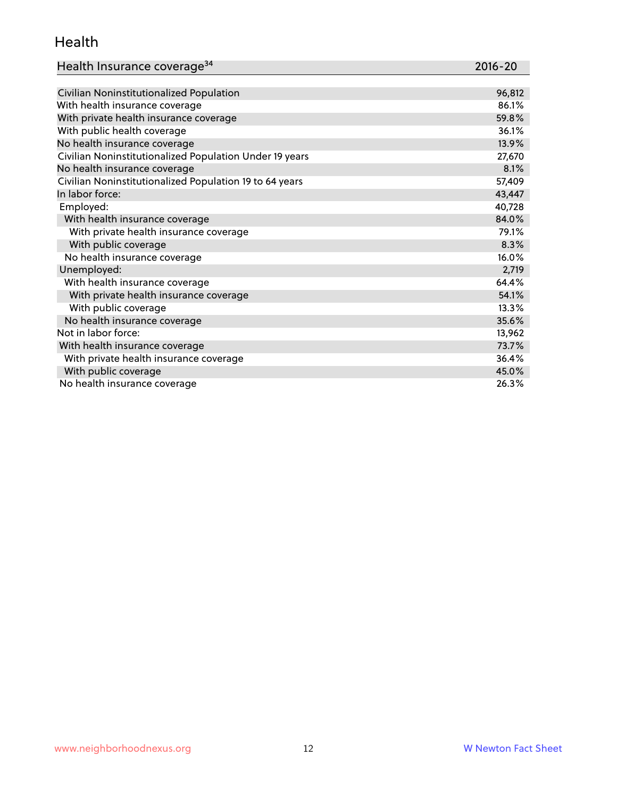#### Health

| Health Insurance coverage <sup>34</sup> | 2016-20 |
|-----------------------------------------|---------|
|-----------------------------------------|---------|

| Civilian Noninstitutionalized Population                | 96,812 |
|---------------------------------------------------------|--------|
| With health insurance coverage                          | 86.1%  |
| With private health insurance coverage                  | 59.8%  |
| With public health coverage                             | 36.1%  |
| No health insurance coverage                            | 13.9%  |
| Civilian Noninstitutionalized Population Under 19 years | 27,670 |
| No health insurance coverage                            | 8.1%   |
| Civilian Noninstitutionalized Population 19 to 64 years | 57,409 |
| In labor force:                                         | 43,447 |
| Employed:                                               | 40,728 |
| With health insurance coverage                          | 84.0%  |
| With private health insurance coverage                  | 79.1%  |
| With public coverage                                    | 8.3%   |
| No health insurance coverage                            | 16.0%  |
| Unemployed:                                             | 2,719  |
| With health insurance coverage                          | 64.4%  |
| With private health insurance coverage                  | 54.1%  |
| With public coverage                                    | 13.3%  |
| No health insurance coverage                            | 35.6%  |
| Not in labor force:                                     | 13,962 |
| With health insurance coverage                          | 73.7%  |
| With private health insurance coverage                  | 36.4%  |
| With public coverage                                    | 45.0%  |
| No health insurance coverage                            | 26.3%  |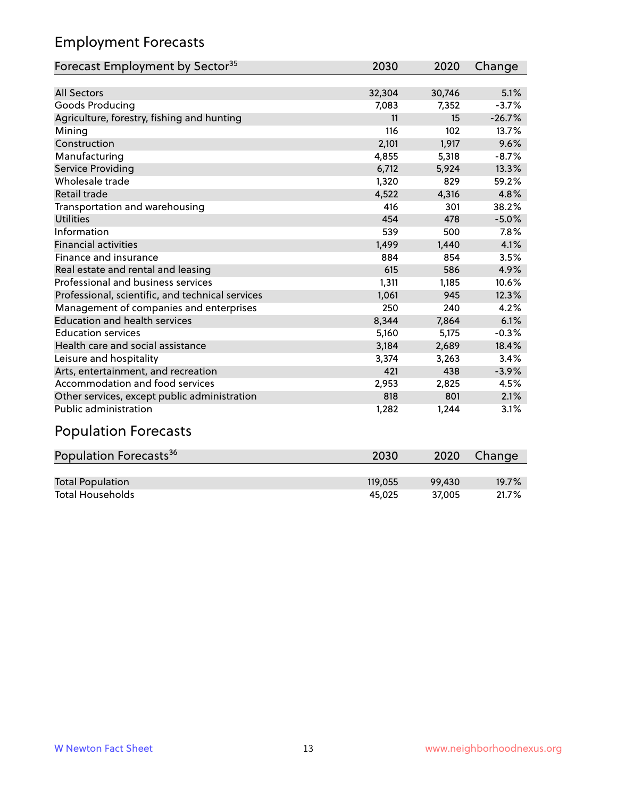# Employment Forecasts

| Forecast Employment by Sector <sup>35</sup>      | 2030   | 2020   | Change   |
|--------------------------------------------------|--------|--------|----------|
|                                                  |        |        |          |
| <b>All Sectors</b>                               | 32,304 | 30,746 | 5.1%     |
| Goods Producing                                  | 7,083  | 7,352  | $-3.7%$  |
| Agriculture, forestry, fishing and hunting       | 11     | 15     | $-26.7%$ |
| Mining                                           | 116    | 102    | 13.7%    |
| Construction                                     | 2,101  | 1,917  | 9.6%     |
| Manufacturing                                    | 4,855  | 5,318  | $-8.7%$  |
| Service Providing                                | 6,712  | 5,924  | 13.3%    |
| Wholesale trade                                  | 1,320  | 829    | 59.2%    |
| Retail trade                                     | 4,522  | 4,316  | 4.8%     |
| Transportation and warehousing                   | 416    | 301    | 38.2%    |
| <b>Utilities</b>                                 | 454    | 478    | $-5.0%$  |
| Information                                      | 539    | 500    | 7.8%     |
| <b>Financial activities</b>                      | 1,499  | 1,440  | 4.1%     |
| Finance and insurance                            | 884    | 854    | 3.5%     |
| Real estate and rental and leasing               | 615    | 586    | 4.9%     |
| Professional and business services               | 1,311  | 1,185  | 10.6%    |
| Professional, scientific, and technical services | 1,061  | 945    | 12.3%    |
| Management of companies and enterprises          | 250    | 240    | 4.2%     |
| <b>Education and health services</b>             | 8,344  | 7,864  | 6.1%     |
| <b>Education services</b>                        | 5,160  | 5,175  | $-0.3%$  |
| Health care and social assistance                | 3,184  | 2,689  | 18.4%    |
| Leisure and hospitality                          | 3,374  | 3,263  | 3.4%     |
| Arts, entertainment, and recreation              | 421    | 438    | $-3.9%$  |
| Accommodation and food services                  | 2,953  | 2,825  | 4.5%     |
| Other services, except public administration     | 818    | 801    | 2.1%     |
| <b>Public administration</b>                     | 1,282  | 1,244  | 3.1%     |

# Population Forecasts

| Population Forecasts <sup>36</sup> | 2030    | 2020   | Change |
|------------------------------------|---------|--------|--------|
|                                    |         |        |        |
| <b>Total Population</b>            | 119.055 | 99.430 | 19.7%  |
| <b>Total Households</b>            | 45.025  | 37.005 | 21.7%  |